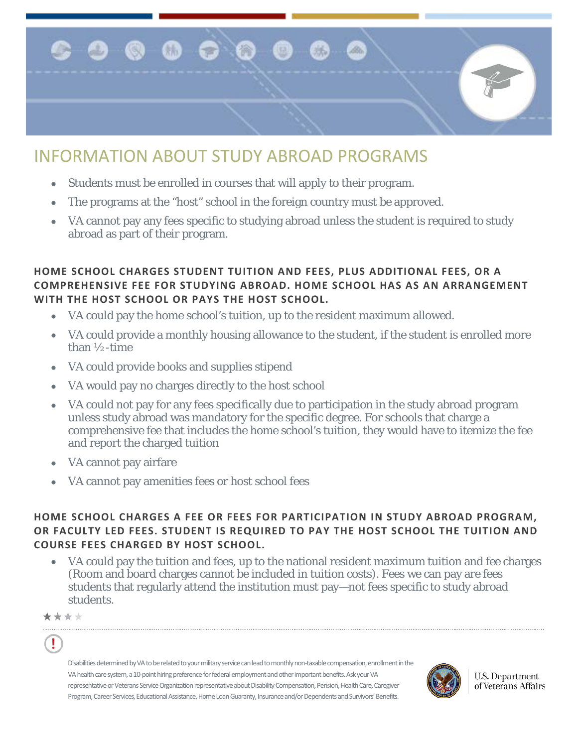

# INFORMATION ABOUT STUDY ABROAD PROGRAMS

- Students must be enrolled in courses that will apply to their program.
- The programs at the "host" school in the foreign country must be approved.
- VA cannot pay any fees specific to studying abroad unless the student is required to study abroad as part of their program.

## **HOME SCHOOL CHARGES STUDENT TUITION AND FEES, PLUS ADDITIONAL FEES, OR A COMPREHENSIVE FEE FOR STUDYING ABROAD. HOME SCHOOL HAS AS AN ARRANGEMENT WITH THE HOST SCHOOL OR PAYS THE HOST SCHOOL.**

- VA could pay the home school's tuition, up to the resident maximum allowed.
- VA could provide a monthly housing allowance to the student, if the student is enrolled more than ½-time
- VA could provide books and supplies stipend
- VA would pay no charges directly to the host school
- VA could not pay for any fees specifically due to participation in the study abroad program unless study abroad was mandatory for the specific degree. For schools that charge a comprehensive fee that includes the home school's tuition, they would have to itemize the fee and report the charged tuition
- VA cannot pay airfare
- VA cannot pay amenities fees or host school fees

## **HOME SCHOOL CHARGES A FEE OR FEES FOR PARTICIPATION IN STUDY ABROAD PROGRAM, OR FACULTY LED FEES. STUDENT IS REQUIRED TO PAY THE HOST SCHOOL THE TUITION AND COURSE FEES CHARGED BY HOST SCHOOL.**

• VA could pay the tuition and fees, up to the national resident maximum tuition and fee charges (Room and board charges cannot be included in tuition costs). Fees we can pay are fees students that regularly attend the institution must pay—not fees specific to study abroad students.

\*\*\*\*

Ţ

Disabilities determined by VA to be related to your military service can lead to monthly non-taxable compensation, enrollment in the VA health care system, a 10-point hiring preference for federal employment and other important benefits. Ask your VA representative or Veterans Service Organization representative about Disability Compensation, Pension, Health Care, Caregiver Program, Career Services, Educational Assistance, Home Loan Guaranty, Insurance and/or Dependents and Survivors' Benefits.



U.S. Department of Veterans Affairs